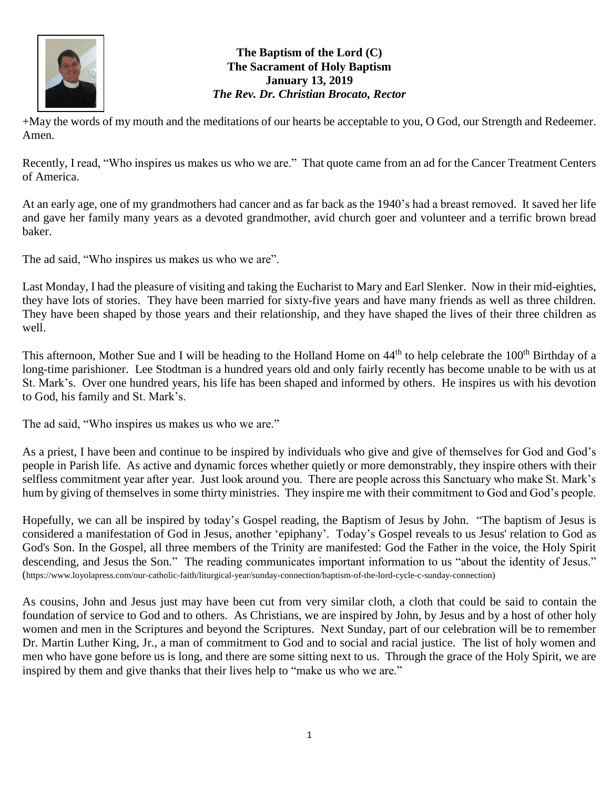

## **The Baptism of the Lord (C) The Sacrament of Holy Baptism January 13, 2019** *The Rev. Dr. Christian Brocato, Rector*

+May the words of my mouth and the meditations of our hearts be acceptable to you, O God, our Strength and Redeemer. Amen.

Recently, I read, "Who inspires us makes us who we are." That quote came from an ad for the Cancer Treatment Centers of America.

At an early age, one of my grandmothers had cancer and as far back as the 1940's had a breast removed. It saved her life and gave her family many years as a devoted grandmother, avid church goer and volunteer and a terrific brown bread baker.

The ad said, "Who inspires us makes us who we are".

Last Monday, I had the pleasure of visiting and taking the Eucharist to Mary and Earl Slenker. Now in their mid-eighties, they have lots of stories. They have been married for sixty-five years and have many friends as well as three children. They have been shaped by those years and their relationship, and they have shaped the lives of their three children as well.

This afternoon, Mother Sue and I will be heading to the Holland Home on 44<sup>th</sup> to help celebrate the 100<sup>th</sup> Birthday of a long-time parishioner. Lee Stodtman is a hundred years old and only fairly recently has become unable to be with us at St. Mark's. Over one hundred years, his life has been shaped and informed by others. He inspires us with his devotion to God, his family and St. Mark's.

The ad said, "Who inspires us makes us who we are."

As a priest, I have been and continue to be inspired by individuals who give and give of themselves for God and God's people in Parish life. As active and dynamic forces whether quietly or more demonstrably, they inspire others with their selfless commitment year after year. Just look around you. There are people across this Sanctuary who make St. Mark's hum by giving of themselves in some thirty ministries. They inspire me with their commitment to God and God's people.

Hopefully, we can all be inspired by today's Gospel reading, the Baptism of Jesus by John. "The baptism of Jesus is considered a manifestation of God in Jesus, another 'epiphany'. Today's Gospel reveals to us Jesus' relation to God as God's Son. In the Gospel, all three members of the Trinity are manifested: God the Father in the voice, the Holy Spirit descending, and Jesus the Son." The reading communicates important information to us "about the identity of Jesus." (https://www.loyolapress.com/our-catholic-faith/liturgical-year/sunday-connection/baptism-of-the-lord-cycle-c-sunday-connection)

As cousins, John and Jesus just may have been cut from very similar cloth, a cloth that could be said to contain the foundation of service to God and to others. As Christians, we are inspired by John, by Jesus and by a host of other holy women and men in the Scriptures and beyond the Scriptures. Next Sunday, part of our celebration will be to remember Dr. Martin Luther King, Jr., a man of commitment to God and to social and racial justice. The list of holy women and men who have gone before us is long, and there are some sitting next to us. Through the grace of the Holy Spirit, we are inspired by them and give thanks that their lives help to "make us who we are."